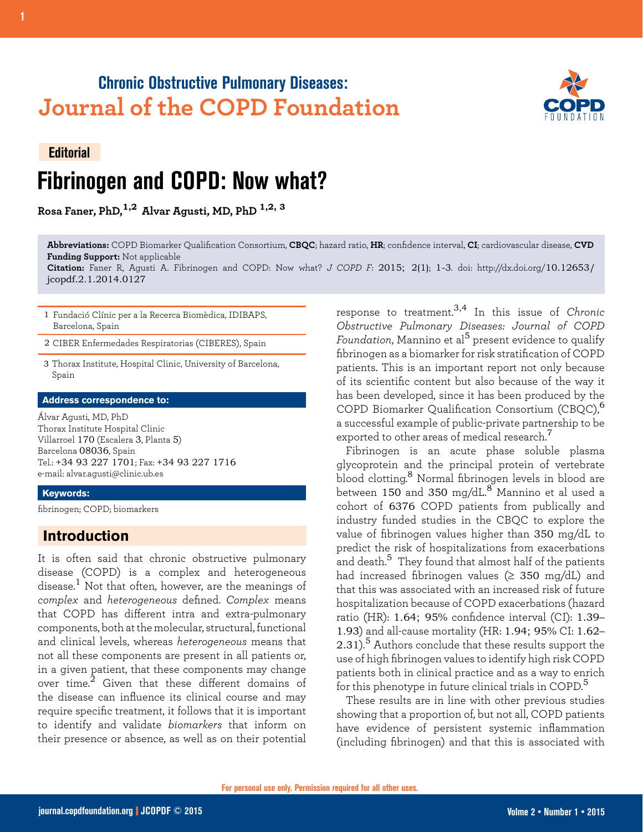## **Chronic Obstructive Pulmonary Diseases: Journal of the COPD Foundation**



# **Editorial Fibrinogen and COPD: Now what?**

**Rosa Faner, PhD,1,2 Alvar Agusti, MD, PhD 1,2, 3**

**Abbreviations:** COPD Biomarker Qualification Consortium, **CBQC**; hazard ratio, **HR**; confidence interval, **CI**; cardiovascular disease, **CVD Funding Support:** Not applicable

**Citation:** Faner R, Agusti A. Fibrinogen and COPD: Now what? *J COPD F*: 2015; 2(1); 1-3. doi: http://dx.doi.org/10.12653/ jcopdf.2.1.2014.0127

1 Fundació Clínic per a la Recerca Biomèdica, IDIBAPS, Barcelona, Spain

2 CIBER Enfermedades Respiratorias (CIBERES), Spain

3 Thorax Institute, Hospital Clinic, University of Barcelona, Spain

#### **Address correspondence to:**

Álvar Agusti, MD, PhD Thorax Institute Hospital Clinic Villarroel 170 (Escalera 3, Planta 5) Barcelona 08036, Spain Tel.: +34 93 227 1701; Fax: +34 93 227 1716 e-mail: alvar.agusti@clinic.ub.es

### **Keywords:**

fibrinogen; COPD; biomarkers

### **Introduction**

It is often said that chronic obstructive pulmonary disease (COPD) is a complex and heterogeneous disease.<sup>1</sup> Not that often, however, are the meanings of *complex* and *heterogeneous* defined. *Complex* means that COPD has different intra and extra-pulmonary components, both at the molecular, structural, functional and clinical levels, whereas *heterogeneous* means that not all these components are present in all patients or, in a given patient, that these components may change over time.<sup>2</sup> Given that these different domains of the disease can influence its clinical course and may require specific treatment, it follows that it is important to identify and validate *biomarkers* that inform on their presence or absence, as well as on their potential

response to treatment.3,4 In this issue of *Chronic Obstructive Pulmonary Diseases: Journal of COPD Foundation*, Mannino et al5 present evidence to qualify fibrinogen as a biomarker for risk stratification of COPD patients. This is an important report not only because of its scientific content but also because of the way it has been developed, since it has been produced by the COPD Biomarker Qualification Consortium (CBQC),<sup>6</sup> a successful example of public-private partnership to be exported to other areas of medical research. $^7$ 

Fibrinogen is an acute phase soluble plasma glycoprotein and the principal protein of vertebrate blood clotting.8 Normal fibrinogen levels in blood are between  $150$  and  $350$  mg/dL.<sup>8</sup> Mannino et al used a cohort of 6376 COPD patients from publically and industry funded studies in the CBQC to explore the value of fibrinogen values higher than 350 mg/dL to predict the risk of hospitalizations from exacerbations and death.<sup>5</sup> They found that almost half of the patients had increased fibrinogen values ( $\geq$  350 mg/dL) and that this was associated with an increased risk of future hospitalization because of COPD exacerbations (hazard ratio (HR): 1.64; 95% confidence interval (CI): 1.39– 1.93) and all-cause mortality (HR: 1.94; 95% CI: 1.62– 2.31).<sup>5</sup> Authors conclude that these results support the use of high fibrinogen values to identify high risk COPD patients both in clinical practice and as a way to enrich for this phenotype in future clinical trials in COPD.<sup>5</sup>

These results are in line with other previous studies showing that a proportion of, but not all, COPD patients have evidence of persistent systemic inflammation (including fibrinogen) and that this is associated with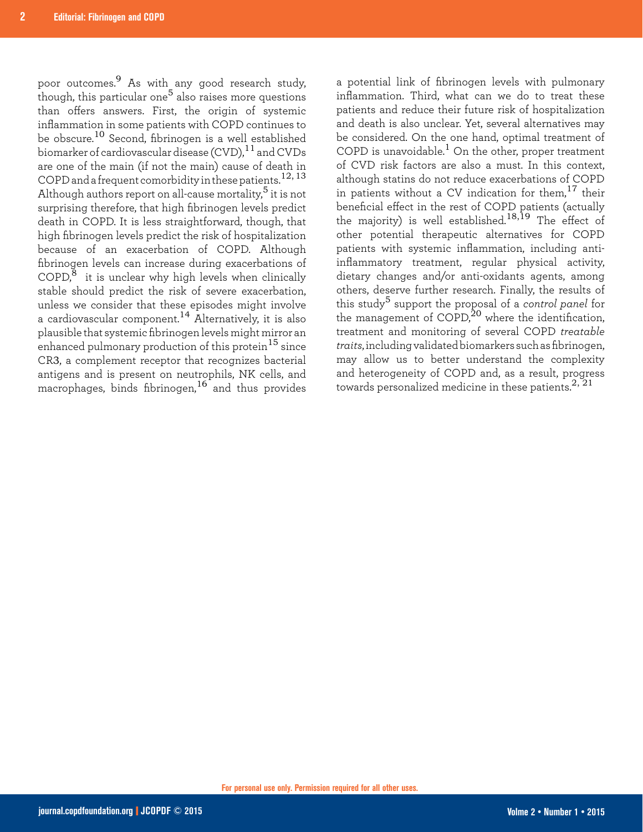poor outcomes.9 As with any good research study, though, this particular one<sup>5</sup> also raises more questions than offers answers. First, the origin of systemic inflammation in some patients with COPD continues to be obscure.10 Second, fibrinogen is a well established biomarker of cardiovascular disease (CVD),11 and CVDs are one of the main (if not the main) cause of death in COPD and a frequent comorbidity in these patients.<sup>12, 13</sup> Although authors report on all-cause mortality,5 it is not surprising therefore, that high fibrinogen levels predict death in COPD. It is less straightforward, though, that high fibrinogen levels predict the risk of hospitalization because of an exacerbation of COPD. Although fibrinogen levels can increase during exacerbations of  $\text{COPD},^8$  it is unclear why high levels when clinically stable should predict the risk of severe exacerbation, unless we consider that these episodes might involve a cardiovascular component.14 Alternatively, it is also plausible that systemic fibrinogen levels might mirror an enhanced pulmonary production of this protein<sup>15</sup> since CR3, a complement receptor that recognizes bacterial antigens and is present on neutrophils, NK cells, and macrophages, binds fibrinogen,<sup>16</sup> and thus provides

a potential link of fibrinogen levels with pulmonary inflammation. Third, what can we do to treat these patients and reduce their future risk of hospitalization and death is also unclear. Yet, several alternatives may be considered. On the one hand, optimal treatment of COPD is unavoidable.<sup>1</sup> On the other, proper treatment of CVD risk factors are also a must. In this context, although statins do not reduce exacerbations of COPD in patients without a CV indication for them,<sup>17</sup> their beneficial effect in the rest of COPD patients (actually the majority) is well established.18,19 The effect of other potential therapeutic alternatives for COPD patients with systemic inflammation, including antiinflammatory treatment, regular physical activity, dietary changes and/or anti-oxidants agents, among others, deserve further research. Finally, the results of this study5 support the proposal of a *control panel* for the management of  $\text{COPD}^{20}$  where the identification, treatment and monitoring of several COPD *treatable traits*, including validated biomarkers such as fibrinogen, may allow us to better understand the complexity and heterogeneity of COPD and, as a result, progress towards personalized medicine in these patients. $^{2,\,21}$